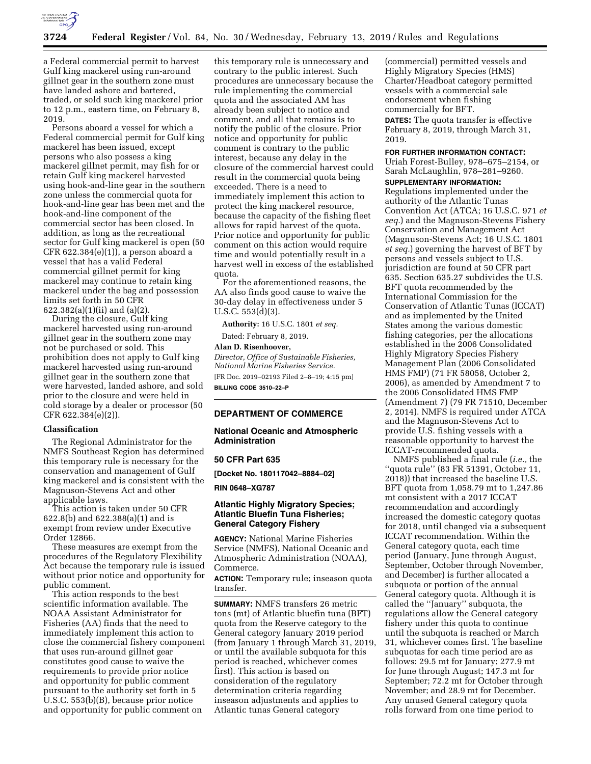

a Federal commercial permit to harvest Gulf king mackerel using run-around gillnet gear in the southern zone must have landed ashore and bartered, traded, or sold such king mackerel prior to 12 p.m., eastern time, on February 8, 2019.

Persons aboard a vessel for which a Federal commercial permit for Gulf king mackerel has been issued, except persons who also possess a king mackerel gillnet permit, may fish for or retain Gulf king mackerel harvested using hook-and-line gear in the southern zone unless the commercial quota for hook-and-line gear has been met and the hook-and-line component of the commercial sector has been closed. In addition, as long as the recreational sector for Gulf king mackerel is open (50 CFR 622.384(e)(1)), a person aboard a vessel that has a valid Federal commercial gillnet permit for king mackerel may continue to retain king mackerel under the bag and possession limits set forth in 50 CFR 622.382(a)(1)(ii) and (a)(2).

During the closure, Gulf king mackerel harvested using run-around gillnet gear in the southern zone may not be purchased or sold. This prohibition does not apply to Gulf king mackerel harvested using run-around gillnet gear in the southern zone that were harvested, landed ashore, and sold prior to the closure and were held in cold storage by a dealer or processor (50 CFR 622.384(e)(2)).

### **Classification**

The Regional Administrator for the NMFS Southeast Region has determined this temporary rule is necessary for the conservation and management of Gulf king mackerel and is consistent with the Magnuson-Stevens Act and other applicable laws.

This action is taken under 50 CFR 622.8(b) and 622.388(a)(1) and is exempt from review under Executive Order 12866.

These measures are exempt from the procedures of the Regulatory Flexibility Act because the temporary rule is issued without prior notice and opportunity for public comment.

This action responds to the best scientific information available. The NOAA Assistant Administrator for Fisheries (AA) finds that the need to immediately implement this action to close the commercial fishery component that uses run-around gillnet gear constitutes good cause to waive the requirements to provide prior notice and opportunity for public comment pursuant to the authority set forth in 5 U.S.C. 553(b)(B), because prior notice and opportunity for public comment on

this temporary rule is unnecessary and contrary to the public interest. Such procedures are unnecessary because the rule implementing the commercial quota and the associated AM has already been subject to notice and comment, and all that remains is to notify the public of the closure. Prior notice and opportunity for public comment is contrary to the public interest, because any delay in the closure of the commercial harvest could result in the commercial quota being exceeded. There is a need to immediately implement this action to protect the king mackerel resource, because the capacity of the fishing fleet allows for rapid harvest of the quota. Prior notice and opportunity for public comment on this action would require time and would potentially result in a harvest well in excess of the established quota.

For the aforementioned reasons, the AA also finds good cause to waive the 30-day delay in effectiveness under 5 U.S.C. 553(d)(3).

**Authority:** 16 U.S.C. 1801 *et seq.* 

Dated: February 8, 2019.

# **Alan D. Risenhoover,**

*Director, Office of Sustainable Fisheries, National Marine Fisheries Service.*  [FR Doc. 2019–02193 Filed 2–8–19; 4:15 pm] **BILLING CODE 3510–22–P** 

# **DEPARTMENT OF COMMERCE**

### **National Oceanic and Atmospheric Administration**

### **50 CFR Part 635**

**[Docket No. 180117042–8884–02]** 

**RIN 0648–XG787** 

# **Atlantic Highly Migratory Species; Atlantic Bluefin Tuna Fisheries; General Category Fishery**

**AGENCY:** National Marine Fisheries Service (NMFS), National Oceanic and Atmospheric Administration (NOAA), Commerce.

**ACTION:** Temporary rule; inseason quota transfer.

**SUMMARY:** NMFS transfers 26 metric tons (mt) of Atlantic bluefin tuna (BFT) quota from the Reserve category to the General category January 2019 period (from January 1 through March 31, 2019, or until the available subquota for this period is reached, whichever comes first). This action is based on consideration of the regulatory determination criteria regarding inseason adjustments and applies to Atlantic tunas General category

(commercial) permitted vessels and Highly Migratory Species (HMS) Charter/Headboat category permitted vessels with a commercial sale endorsement when fishing commercially for BFT. **DATES:** The quota transfer is effective February 8, 2019, through March 31, 2019.

#### **FOR FURTHER INFORMATION CONTACT:**

Uriah Forest-Bulley, 978–675–2154, or Sarah McLaughlin, 978–281–9260.

### **SUPPLEMENTARY INFORMATION:**

Regulations implemented under the authority of the Atlantic Tunas Convention Act (ATCA; 16 U.S.C. 971 *et seq.*) and the Magnuson-Stevens Fishery Conservation and Management Act (Magnuson-Stevens Act; 16 U.S.C. 1801 *et seq.*) governing the harvest of BFT by persons and vessels subject to U.S. jurisdiction are found at 50 CFR part 635. Section 635.27 subdivides the U.S. BFT quota recommended by the International Commission for the Conservation of Atlantic Tunas (ICCAT) and as implemented by the United States among the various domestic fishing categories, per the allocations established in the 2006 Consolidated Highly Migratory Species Fishery Management Plan (2006 Consolidated HMS FMP) (71 FR 58058, October 2, 2006), as amended by Amendment 7 to the 2006 Consolidated HMS FMP (Amendment 7) (79 FR 71510, December 2, 2014). NMFS is required under ATCA and the Magnuson-Stevens Act to provide U.S. fishing vessels with a reasonable opportunity to harvest the ICCAT-recommended quota.

NMFS published a final rule (*i.e.,* the ''quota rule'' (83 FR 51391, October 11, 2018)) that increased the baseline U.S. BFT quota from 1,058.79 mt to 1,247.86 mt consistent with a 2017 ICCAT recommendation and accordingly increased the domestic category quotas for 2018, until changed via a subsequent ICCAT recommendation. Within the General category quota, each time period (January, June through August, September, October through November, and December) is further allocated a subquota or portion of the annual General category quota. Although it is called the ''January'' subquota, the regulations allow the General category fishery under this quota to continue until the subquota is reached or March 31, whichever comes first. The baseline subquotas for each time period are as follows: 29.5 mt for January; 277.9 mt for June through August; 147.3 mt for September; 72.2 mt for October through November; and 28.9 mt for December. Any unused General category quota rolls forward from one time period to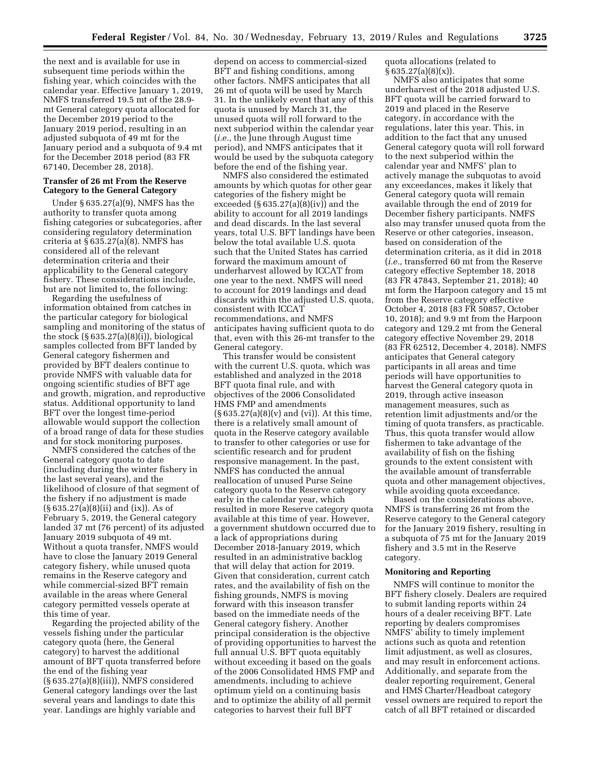the next and is available for use in subsequent time periods within the fishing year, which coincides with the calendar year. Effective January 1, 2019, NMFS transferred 19.5 mt of the 28.9 mt General category quota allocated for the December 2019 period to the January 2019 period, resulting in an adjusted subquota of 49 mt for the January period and a subquota of 9.4 mt for the December 2018 period (83 FR 67140, December 28, 2018).

# **Transfer of 26 mt From the Reserve Category to the General Category**

Under § 635.27(a)(9), NMFS has the authority to transfer quota among fishing categories or subcategories, after considering regulatory determination criteria at  $\S 635.27(a)(8)$ . NMFS has considered all of the relevant determination criteria and their applicability to the General category fishery. These considerations include, but are not limited to, the following:

Regarding the usefulness of information obtained from catches in the particular category for biological sampling and monitoring of the status of the stock  $(\S 635.27(a)(8)(i))$ , biological samples collected from BFT landed by General category fishermen and provided by BFT dealers continue to provide NMFS with valuable data for ongoing scientific studies of BFT age and growth, migration, and reproductive status. Additional opportunity to land BFT over the longest time-period allowable would support the collection of a broad range of data for these studies and for stock monitoring purposes.

NMFS considered the catches of the General category quota to date (including during the winter fishery in the last several years), and the likelihood of closure of that segment of the fishery if no adjustment is made (§ 635.27(a)(8)(ii) and (ix)). As of February 5, 2019, the General category landed 37 mt (76 percent) of its adjusted January 2019 subquota of 49 mt. Without a quota transfer, NMFS would have to close the January 2019 General category fishery, while unused quota remains in the Reserve category and while commercial-sized BFT remain available in the areas where General category permitted vessels operate at this time of year.

Regarding the projected ability of the vessels fishing under the particular category quota (here, the General category) to harvest the additional amount of BFT quota transferred before the end of the fishing year (§ 635.27(a)(8)(iii)), NMFS considered General category landings over the last several years and landings to date this year. Landings are highly variable and

depend on access to commercial-sized BFT and fishing conditions, among other factors. NMFS anticipates that all 26 mt of quota will be used by March 31. In the unlikely event that any of this quota is unused by March 31, the unused quota will roll forward to the next subperiod within the calendar year (*i.e.,* the June through August time period), and NMFS anticipates that it would be used by the subquota category before the end of the fishing year.

NMFS also considered the estimated amounts by which quotas for other gear categories of the fishery might be exceeded  $(\S 635.27(a)(8)(iv))$  and the ability to account for all 2019 landings and dead discards. In the last several years, total U.S. BFT landings have been below the total available U.S. quota such that the United States has carried forward the maximum amount of underharvest allowed by ICCAT from one year to the next. NMFS will need to account for 2019 landings and dead discards within the adjusted U.S. quota, consistent with ICCAT recommendations, and NMFS anticipates having sufficient quota to do that, even with this 26-mt transfer to the General category.

This transfer would be consistent with the current U.S. quota, which was established and analyzed in the 2018 BFT quota final rule, and with objectives of the 2006 Consolidated HMS FMP and amendments  $(\S 635.27(a)(8)(v)$  and (vi)). At this time, there is a relatively small amount of quota in the Reserve category available to transfer to other categories or use for scientific research and for prudent responsive management. In the past, NMFS has conducted the annual reallocation of unused Purse Seine category quota to the Reserve category early in the calendar year, which resulted in more Reserve category quota available at this time of year. However, a government shutdown occurred due to a lack of appropriations during December 2018-January 2019, which resulted in an administrative backlog that will delay that action for 2019. Given that consideration, current catch rates, and the availability of fish on the fishing grounds, NMFS is moving forward with this inseason transfer based on the immediate needs of the General category fishery. Another principal consideration is the objective of providing opportunities to harvest the full annual U.S. BFT quota equitably without exceeding it based on the goals of the 2006 Consolidated HMS FMP and amendments, including to achieve optimum yield on a continuing basis and to optimize the ability of all permit categories to harvest their full BFT

quota allocations (related to  $§ 635.27(a)(8)(x)$ .

NMFS also anticipates that some underharvest of the 2018 adjusted U.S. BFT quota will be carried forward to 2019 and placed in the Reserve category, in accordance with the regulations, later this year. This, in addition to the fact that any unused General category quota will roll forward to the next subperiod within the calendar year and NMFS' plan to actively manage the subquotas to avoid any exceedances, makes it likely that General category quota will remain available through the end of 2019 for December fishery participants. NMFS also may transfer unused quota from the Reserve or other categories, inseason, based on consideration of the determination criteria, as it did in 2018 (*i.e.,* transferred 60 mt from the Reserve category effective September 18, 2018 (83 FR 47843, September 21, 2018); 40 mt form the Harpoon category and 15 mt from the Reserve category effective October 4, 2018 (83 FR 50857, October 10, 2018); and 9.9 mt from the Harpoon category and 129.2 mt from the General category effective November 29, 2018 (83 FR 62512, December 4, 2018). NMFS anticipates that General category participants in all areas and time periods will have opportunities to harvest the General category quota in 2019, through active inseason management measures, such as retention limit adjustments and/or the timing of quota transfers, as practicable. Thus, this quota transfer would allow fishermen to take advantage of the availability of fish on the fishing grounds to the extent consistent with the available amount of transferrable quota and other management objectives, while avoiding quota exceedance.

Based on the considerations above, NMFS is transferring 26 mt from the Reserve category to the General category for the January 2019 fishery, resulting in a subquota of 75 mt for the January 2019 fishery and 3.5 mt in the Reserve category.

### **Monitoring and Reporting**

NMFS will continue to monitor the BFT fishery closely. Dealers are required to submit landing reports within 24 hours of a dealer receiving BFT. Late reporting by dealers compromises NMFS' ability to timely implement actions such as quota and retention limit adjustment, as well as closures, and may result in enforcement actions. Additionally, and separate from the dealer reporting requirement, General and HMS Charter/Headboat category vessel owners are required to report the catch of all BFT retained or discarded